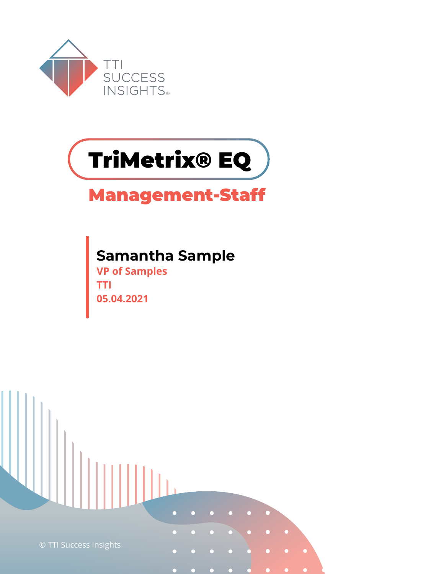



## **Management-Staff**

### **Samantha Sample**

**VP of Samples TTI 05.04.2021**

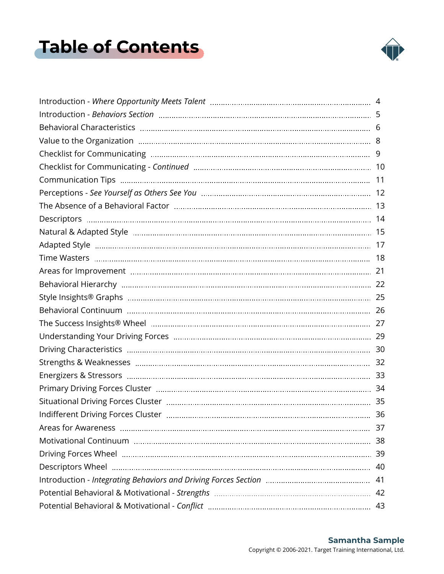## <span id="page-1-0"></span>**Table of Contents**



| 37 |
|----|
| 38 |
|    |
| 40 |
| 41 |
|    |
|    |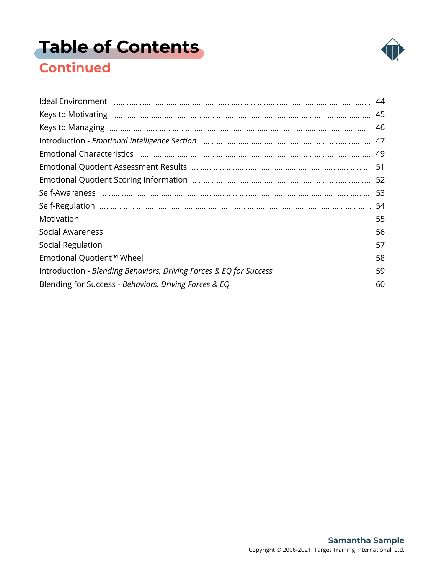# **[Table of Contents](#page-1-0)**



### **Continued**

| 58 |
|----|
|    |
|    |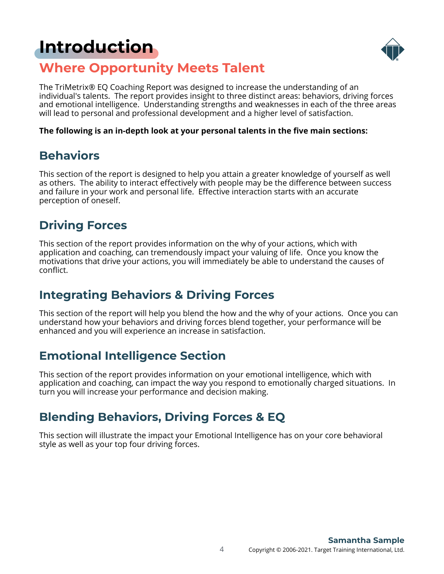## <span id="page-3-0"></span>**[Introduction](#page-1-0)**



### **Where Opportunity Meets Talent**

The TriMetrix® EQ Coaching Report was designed to increase the understanding of an individual's talents. The report provides insight to three distinct areas: behaviors, driving forces and emotional intelligence. Understanding strengths and weaknesses in each of the three areas will lead to personal and professional development and a higher level of satisfaction.

#### **The following is an in-depth look at your personal talents in the five main sections:**

### **Behaviors**

This section of the report is designed to help you attain a greater knowledge of yourself as well as others. The ability to interact effectively with people may be the difference between success and failure in your work and personal life. Effective interaction starts with an accurate perception of oneself.

### **Driving Forces**

This section of the report provides information on the why of your actions, which with application and coaching, can tremendously impact your valuing of life. Once you know the motivations that drive your actions, you will immediately be able to understand the causes of conflict.

### **Integrating Behaviors & Driving Forces**

This section of the report will help you blend the how and the why of your actions. Once you can understand how your behaviors and driving forces blend together, your performance will be enhanced and you will experience an increase in satisfaction.

### **Emotional Intelligence Section**

This section of the report provides information on your emotional intelligence, which with application and coaching, can impact the way you respond to emotionally charged situations. In turn you will increase your performance and decision making.

### **Blending Behaviors, Driving Forces & EQ**

This section will illustrate the impact your Emotional Intelligence has on your core behavioral style as well as your top four driving forces.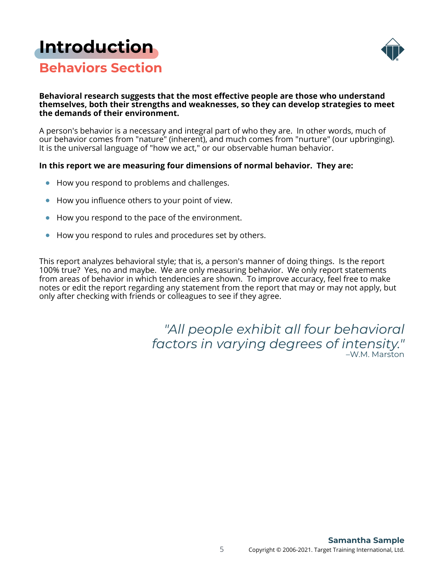### <span id="page-4-0"></span>**[Introduction](#page-1-0)**



### **Behaviors Section**

#### **Behavioral research suggests that the most effective people are those who understand themselves, both their strengths and weaknesses, so they can develop strategies to meet the demands of their environment.**

A person's behavior is a necessary and integral part of who they are. In other words, much of our behavior comes from "nature" (inherent), and much comes from "nurture" (our upbringing). It is the universal language of "how we act," or our observable human behavior.

#### **In this report we are measuring four dimensions of normal behavior. They are:**

- How you respond to problems and challenges.
- How you influence others to your point of view.  $\bullet$
- How you respond to the pace of the environment.
- How you respond to rules and procedures set by others.

This report analyzes behavioral style; that is, a person's manner of doing things. Is the report 100% true? Yes, no and maybe. We are only measuring behavior. We only report statements from areas of behavior in which tendencies are shown. To improve accuracy, feel free to make notes or edit the report regarding any statement from the report that may or may not apply, but only after checking with friends or colleagues to see if they agree.

> *"All people exhibit all four behavioral factors in varying degrees of intensity."* –W.M. Marston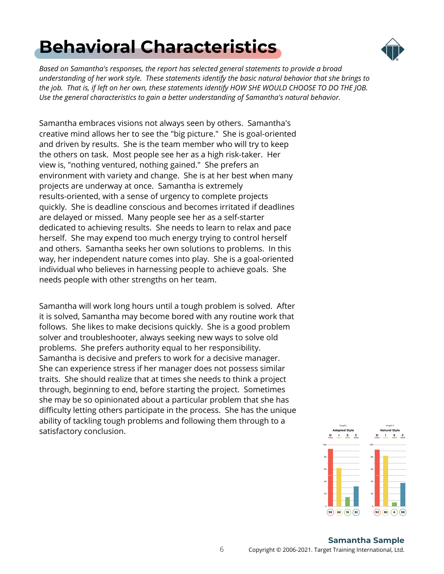## <span id="page-5-0"></span>**[Behavioral Characteristics](#page-1-0)**



*Based on Samantha's responses, the report has selected general statements to provide a broad understanding of her work style. These statements identify the basic natural behavior that she brings to the job. That is, if left on her own, these statements identify HOW SHE WOULD CHOOSE TO DO THE JOB. Use the general characteristics to gain a better understanding of Samantha's natural behavior.*

Samantha embraces visions not always seen by others. Samantha's creative mind allows her to see the "big picture." She is goal-oriented and driven by results. She is the team member who will try to keep the others on task. Most people see her as a high risk-taker. Her view is, "nothing ventured, nothing gained." She prefers an environment with variety and change. She is at her best when many projects are underway at once. Samantha is extremely results-oriented, with a sense of urgency to complete projects quickly. She is deadline conscious and becomes irritated if deadlines are delayed or missed. Many people see her as a self-starter dedicated to achieving results. She needs to learn to relax and pace herself. She may expend too much energy trying to control herself and others. Samantha seeks her own solutions to problems. In this way, her independent nature comes into play. She is a goal-oriented individual who believes in harnessing people to achieve goals. She needs people with other strengths on her team.

Samantha will work long hours until a tough problem is solved. After it is solved, Samantha may become bored with any routine work that follows. She likes to make decisions quickly. She is a good problem solver and troubleshooter, always seeking new ways to solve old problems. She prefers authority equal to her responsibility. Samantha is decisive and prefers to work for a decisive manager. She can experience stress if her manager does not possess similar traits. She should realize that at times she needs to think a project through, beginning to end, before starting the project. Sometimes she may be so opinionated about a particular problem that she has difficulty letting others participate in the process. She has the unique ability of tackling tough problems and following them through to a satisfactory conclusion.

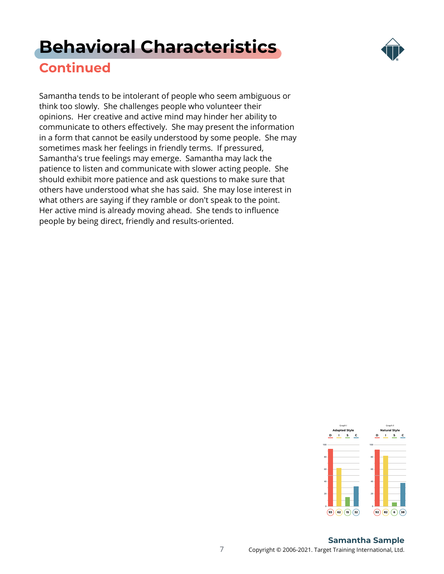### **[Behavioral Characteristics](#page-1-0)**



### **Continued**

Samantha tends to be intolerant of people who seem ambiguous or think too slowly. She challenges people who volunteer their opinions. Her creative and active mind may hinder her ability to communicate to others effectively. She may present the information in a form that cannot be easily understood by some people. She may sometimes mask her feelings in friendly terms. If pressured, Samantha's true feelings may emerge. Samantha may lack the patience to listen and communicate with slower acting people. She should exhibit more patience and ask questions to make sure that others have understood what she has said. She may lose interest in what others are saying if they ramble or don't speak to the point. Her active mind is already moving ahead. She tends to influence people by being direct, friendly and results-oriented.



#### **Samantha Sample**

7 Copyright © 2006-2021. Target Training International, Ltd.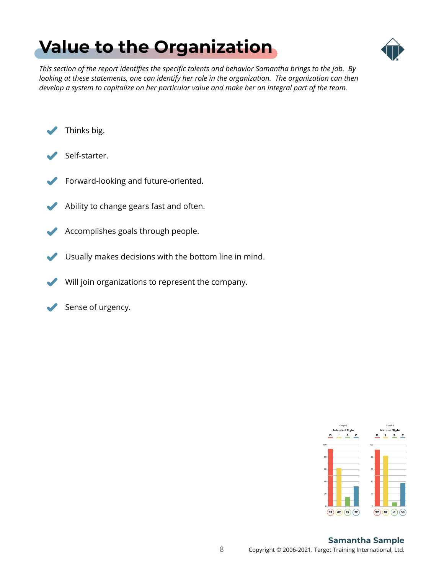## <span id="page-7-0"></span>**[Value to the Organization](#page-1-0)**



*This section of the report identifies the specific talents and behavior Samantha brings to the job. By looking at these statements, one can identify her role in the organization. The organization can then develop a system to capitalize on her particular value and make her an integral part of the team.*



- Self-starter.
- Forward-looking and future-oriented.
- Ability to change gears fast and often.
- $\blacktriangledown$ Accomplishes goals through people.
- Usually makes decisions with the bottom line in mind.
- $\mathbf{z}$ Will join organizations to represent the company.
- Sense of urgency.  $\blacktriangledown$



#### 8 Copyright © 2006-2021. Target Training International, Ltd. **Samantha Sample**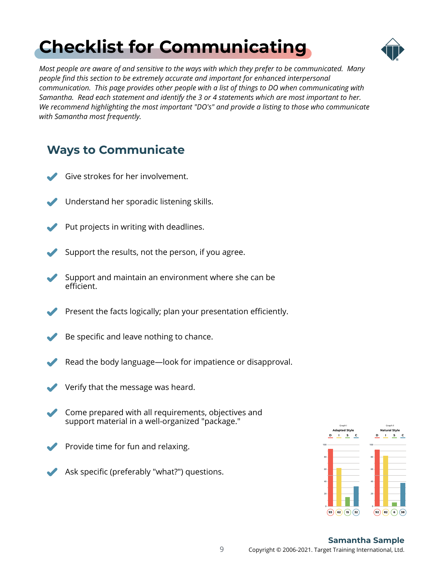# <span id="page-8-0"></span>**[Checklist for Communicating](#page-1-0)**



*Most people are aware of and sensitive to the ways with which they prefer to be communicated. Many people find this section to be extremely accurate and important for enhanced interpersonal communication. This page provides other people with a list of things to DO when communicating with Samantha. Read each statement and identify the 3 or 4 statements which are most important to her. We recommend highlighting the most important "DO's" and provide a listing to those who communicate with Samantha most frequently.*

### **Ways to Communicate**

- Give strokes for her involvement.
- Understand her sporadic listening skills.
- Put projects in writing with deadlines.
- Support the results, not the person, if you agree.
- Support and maintain an environment where she can be efficient.
- Present the facts logically; plan your presentation efficiently.
- Be specific and leave nothing to chance.
- Read the body language—look for impatience or disapproval.
- Verify that the message was heard.
- Come prepared with all requirements, objectives and support material in a well-organized "package."
- Provide time for fun and relaxing.
- Ask specific (preferably "what?") questions.

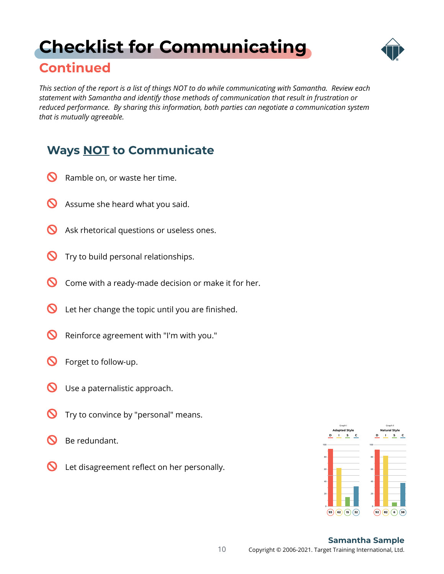## <span id="page-9-0"></span>**[Checklist for Communicating](#page-1-0)**



### **Continued**

*This section of the report is a list of things NOT to do while communicating with Samantha. Review each statement with Samantha and identify those methods of communication that result in frustration or reduced performance. By sharing this information, both parties can negotiate a communication system that is mutually agreeable.*

### **Ways NOT to Communicate**

- $\boldsymbol{\mathsf{C}}$ Ramble on, or waste her time.
- $\boldsymbol{\infty}$ Assume she heard what you said.
- $\boldsymbol{\infty}$ Ask rhetorical questions or useless ones.
- $\boldsymbol{\varOmega}$ Try to build personal relationships.
- $\boldsymbol{\infty}$ Come with a ready-made decision or make it for her.
- $\boldsymbol{\infty}$ Let her change the topic until you are finished.
- $\boldsymbol{\infty}$ Reinforce agreement with "I'm with you."
- $\boldsymbol{\infty}$ Forget to follow-up.
- $\boldsymbol{\infty}$ Use a paternalistic approach.
- $\boldsymbol{\mathcal{D}}$ Try to convince by "personal" means.
- $\boldsymbol{\varOmega}$ Be redundant.
- $\boldsymbol{\infty}$ Let disagreement reflect on her personally.

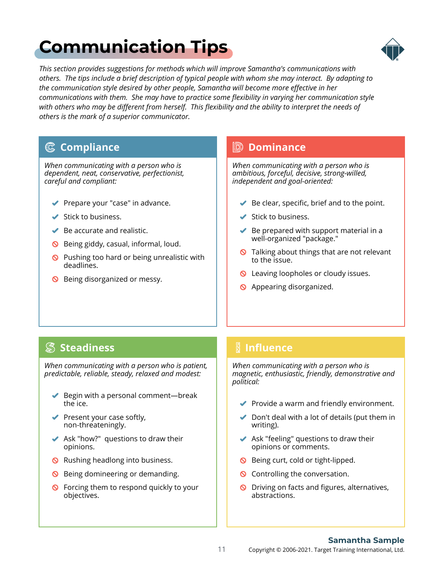## <span id="page-10-0"></span>**[Communication Tips](#page-1-0)**



*This section provides suggestions for methods which will improve Samantha's communications with others. The tips include a brief description of typical people with whom she may interact. By adapting to the communication style desired by other people, Samantha will become more effective in her communications with them. She may have to practice some flexibility in varying her communication style with others who may be different from herself. This flexibility and the ability to interpret the needs of others is the mark of a superior communicator.*

#### **Compliance**

*When communicating with a person who is dependent, neat, conservative, perfectionist, careful and compliant:*

- ◆ Prepare your "case" in advance.
- $\blacktriangleright$  Stick to business.
- $\blacktriangleright$  Be accurate and realistic.
- **S** Being giddy, casual, informal, loud.
- $\bigcirc$  Pushing too hard or being unrealistic with deadlines.
- S Being disorganized or messy.

#### **Dominance**

*When communicating with a person who is ambitious, forceful, decisive, strong-willed, independent and goal-oriented:*

- $\blacktriangleright$  Be clear, specific, brief and to the point.
- $\blacktriangleright$  Stick to business.
- $\blacktriangleright$  Be prepared with support material in a well-organized "package."
- **Q** Talking about things that are not relevant to the issue.
- **Q** Leaving loopholes or cloudy issues.
- **S** Appearing disorganized.

#### **Steadiness**

*When communicating with a person who is patient, predictable, reliable, steady, relaxed and modest:*

- $\blacktriangleright$  Begin with a personal comment—break the ice.
- $\blacktriangleright$  Present your case softly, non-threateningly.
- $\blacktriangleright$  Ask "how?" questions to draw their opinions.
- **Q** Rushing headlong into business.
- **S** Being domineering or demanding.
- **S** Forcing them to respond quickly to your objectives.

### **Influence**

*When communicating with a person who is magnetic, enthusiastic, friendly, demonstrative and political:*

- $\blacktriangleright$  Provide a warm and friendly environment.
- $\triangleright$  Don't deal with a lot of details (put them in writing).
- $\blacktriangleright$  Ask "feeling" questions to draw their opinions or comments.
- **S** Being curt, cold or tight-lipped.
- **Q** Controlling the conversation.
- O Driving on facts and figures, alternatives, abstractions.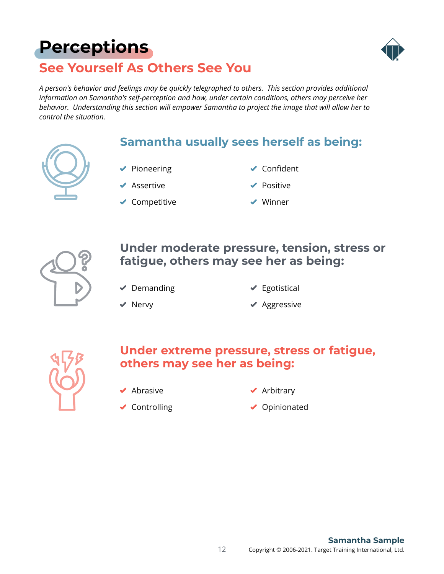## <span id="page-11-0"></span>**[Perceptions](#page-1-0)**



### **See Yourself As Others See You**

*A person's behavior and feelings may be quickly telegraphed to others. This section provides additional information on Samantha's self-perception and how, under certain conditions, others may perceive her behavior. Understanding this section will empower Samantha to project the image that will allow her to control the situation.*

### **Samantha usually sees herself as being:**

- $\blacktriangleright$  Pioneering
	- Assertive
- ◆ Competitive
- ◆ Confident
- Positive
- Winner



### **Under moderate pressure, tension, stress or fatigue, others may see her as being:**

 $\blacktriangleright$  Demanding

 $\blacktriangleright$  Egotistical

 $\blacktriangleright$  Nervy

◆ Aggressive



### **Under extreme pressure, stress or fatigue, others may see her as being:**

 $\blacktriangleright$  Abrasive

◆ Arbitrary

◆ Controlling

◆ Opinionated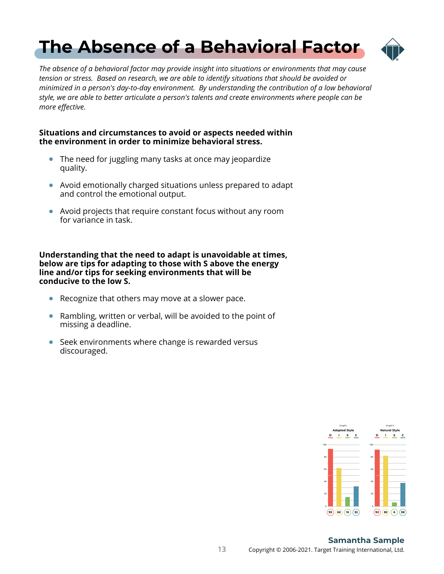## <span id="page-12-0"></span>**[The Absence of a Behavioral Factor](#page-1-0)**



*The absence of a behavioral factor may provide insight into situations or environments that may cause tension or stress. Based on research, we are able to identify situations that should be avoided or minimized in a person's day-to-day environment. By understanding the contribution of a low behavioral style, we are able to better articulate a person's talents and create environments where people can be more effective.*

#### **Situations and circumstances to avoid or aspects needed within the environment in order to minimize behavioral stress.**

- The need for juggling many tasks at once may jeopardize  $\bullet$ quality.
- Avoid emotionally charged situations unless prepared to adapt and control the emotional output.
- Avoid projects that require constant focus without any room for variance in task.

**Understanding that the need to adapt is unavoidable at times, below are tips for adapting to those with S above the energy line and/or tips for seeking environments that will be conducive to the low S.**

- Recognize that others may move at a slower pace.
- Rambling, written or verbal, will be avoided to the point of missing a deadline.
- Seek environments where change is rewarded versus discouraged.



#### 13 Copyright © 2006-2021. Target Training International, Ltd. **Samantha Sample**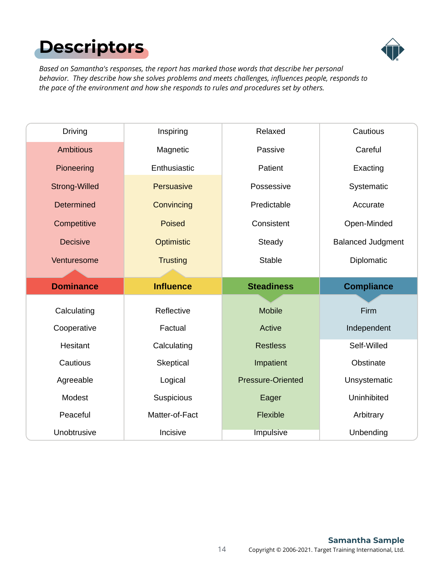# <span id="page-13-0"></span>**[Descriptors](#page-1-0)**



*Based on Samantha's responses, the report has marked those words that describe her personal behavior. They describe how she solves problems and meets challenges, influences people, responds to the pace of the environment and how she responds to rules and procedures set by others.*

| <b>Driving</b>       | Inspiring         | Relaxed                  | Cautious                 |
|----------------------|-------------------|--------------------------|--------------------------|
| <b>Ambitious</b>     | Magnetic          | Passive                  | Careful                  |
| Pioneering           | Enthusiastic      | Patient                  | Exacting                 |
| <b>Strong-Willed</b> | <b>Persuasive</b> | Possessive               | Systematic               |
| <b>Determined</b>    | Convincing        | Predictable              | Accurate                 |
| Competitive          | <b>Poised</b>     | Consistent               | Open-Minded              |
| <b>Decisive</b>      | Optimistic        | Steady                   | <b>Balanced Judgment</b> |
| Venturesome          | <b>Trusting</b>   | <b>Stable</b>            | Diplomatic               |
|                      |                   |                          |                          |
|                      |                   |                          |                          |
| <b>Dominance</b>     | <b>Influence</b>  | <b>Steadiness</b>        | <b>Compliance</b>        |
|                      |                   |                          |                          |
| Calculating          | Reflective        | <b>Mobile</b>            | Firm                     |
| Cooperative          | Factual           | Active                   | Independent              |
| Hesitant             | Calculating       | <b>Restless</b>          | Self-Willed              |
| Cautious             | Skeptical         | Impatient                | Obstinate                |
| Agreeable            | Logical           | <b>Pressure-Oriented</b> | Unsystematic             |
| Modest               | Suspicious        | Eager                    | Uninhibited              |
| Peaceful             | Matter-of-Fact    | Flexible                 | Arbitrary                |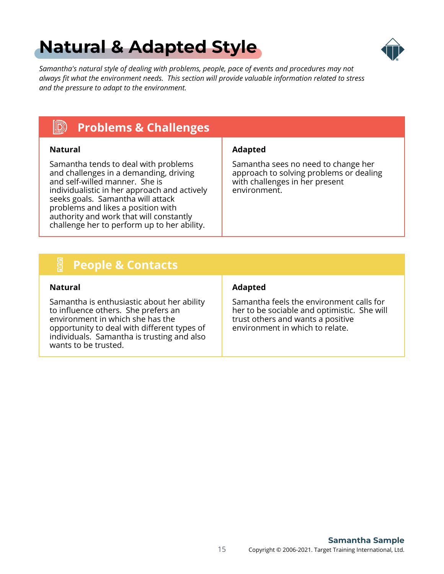## <span id="page-14-0"></span>**[Natural & Adapted Style](#page-1-0)**



*Samantha's natural style of dealing with problems, people, pace of events and procedures may not always fit what the environment needs. This section will provide valuable information related to stress and the pressure to adapt to the environment.*

#### $\ket{\mathbb{D}}$ **Problems & Challenges**

Samantha tends to deal with problems and challenges in a demanding, driving and self-willed manner. She is individualistic in her approach and actively seeks goals. Samantha will attack problems and likes a position with authority and work that will constantly challenge her to perform up to her ability.

#### **Natural Adapted**

Samantha sees no need to change her approach to solving problems or dealing with challenges in her present environment.

#### E **People & Contacts**

Samantha is enthusiastic about her ability to influence others. She prefers an environment in which she has the opportunity to deal with different types of individuals. Samantha is trusting and also wants to be trusted.

#### **Natural Adapted**

Samantha feels the environment calls for her to be sociable and optimistic. She will trust others and wants a positive environment in which to relate.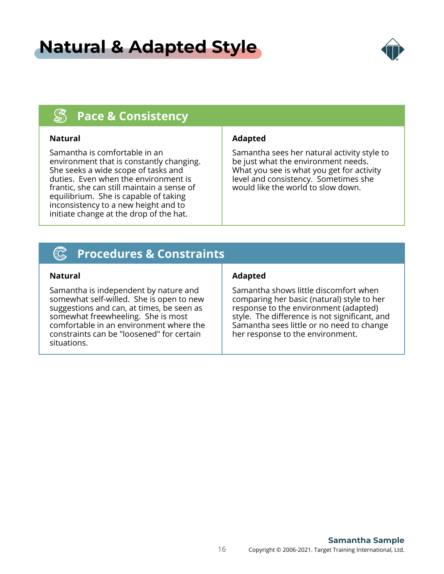### **[Natural & Adapted Style](#page-1-0)**



#### $\mathbb{S}$ **Pace & Consistency**

Samantha is comfortable in an environment that is constantly changing. She seeks a wide scope of tasks and duties. Even when the environment is frantic, she can still maintain a sense of equilibrium. She is capable of taking inconsistency to a new height and to initiate change at the drop of the hat.

#### **Natural Adapted**

Samantha sees her natural activity style to be just what the environment needs. What you see is what you get for activity level and consistency. Sometimes she would like the world to slow down.

#### (C) **Procedures & Constraints**

Samantha is independent by nature and somewhat self-willed. She is open to new suggestions and can, at times, be seen as somewhat freewheeling. She is most comfortable in an environment where the constraints can be "loosened" for certain situations.

#### **Natural Adapted**

Samantha shows little discomfort when comparing her basic (natural) style to her response to the environment (adapted) style. The difference is not significant, and Samantha sees little or no need to change her response to the environment.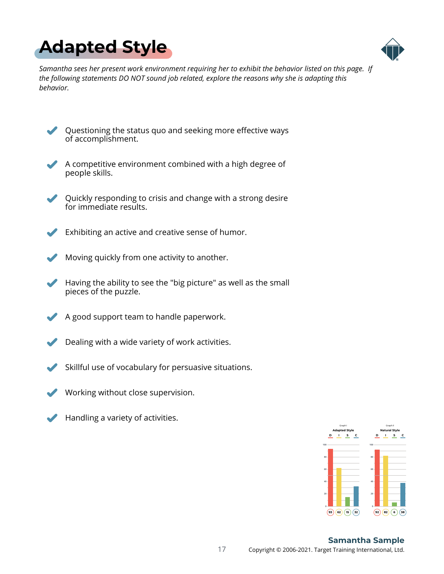<span id="page-16-0"></span>



*Samantha sees her present work environment requiring her to exhibit the behavior listed on this page. If the following statements DO NOT sound job related, explore the reasons why she is adapting this behavior.*

Questioning the status quo and seeking more effective ways of accomplishment.

A competitive environment combined with a high degree of people skills.

- Quickly responding to crisis and change with a strong desire for immediate results.
- Exhibiting an active and creative sense of humor.
- Moving quickly from one activity to another.
- Having the ability to see the "big picture" as well as the small pieces of the puzzle.
- A good support team to handle paperwork.
- Dealing with a wide variety of work activities.
- Skillful use of vocabulary for persuasive situations.
- Working without close supervision.
- Handling a variety of activities.

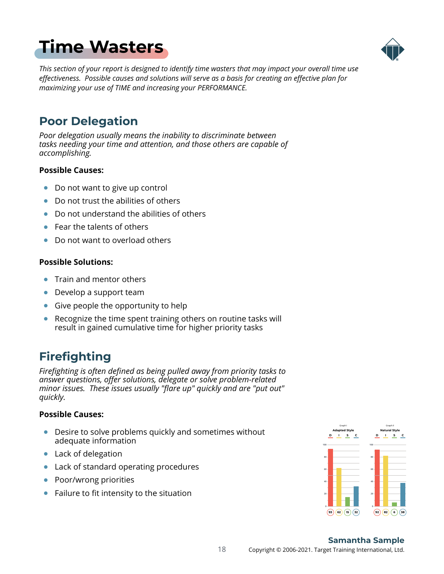## <span id="page-17-0"></span>**[Time Wasters](#page-1-0)**



*This section of your report is designed to identify time wasters that may impact your overall time use effectiveness. Possible causes and solutions will serve as a basis for creating an effective plan for maximizing your use of TIME and increasing your PERFORMANCE.*

### **Poor Delegation**

*Poor delegation usually means the inability to discriminate between tasks needing your time and attention, and those others are capable of accomplishing.*

#### **Possible Causes:**

- Do not want to give up control  $\bullet$
- Do not trust the abilities of others
- Do not understand the abilities of others  $\bullet$
- Fear the talents of others  $\bullet$
- Do not want to overload others  $\bullet$

#### **Possible Solutions:**

- Train and mentor others  $\bullet$
- Develop a support team
- Give people the opportunity to help
- Recognize the time spent training others on routine tasks will  $\bullet$ result in gained cumulative time for higher priority tasks

### **Firefighting**

*Firefighting is often defined as being pulled away from priority tasks to answer questions, offer solutions, delegate or solve problem-related minor issues. These issues usually "flare up" quickly and are "put out" quickly.*

#### **Possible Causes:**

- Desire to solve problems quickly and sometimes without adequate information
- Lack of delegation
- Lack of standard operating procedures  $\bullet$
- Poor/wrong priorities
- Failure to fit intensity to the situation

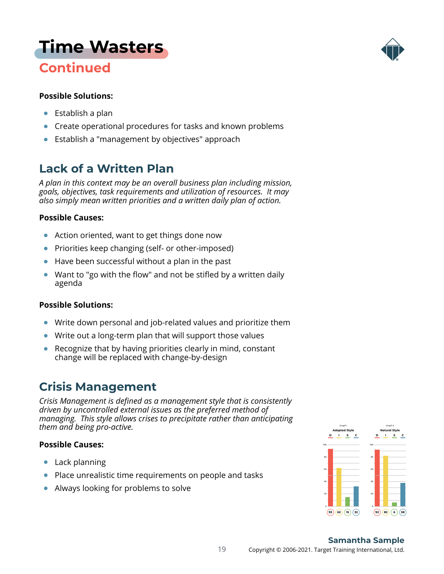# **[Time Wasters](#page-1-0)**

### **Continued**

#### **Possible Solutions:**

- Establish a plan  $\bullet$
- $\bullet$ Create operational procedures for tasks and known problems
- Establish a "management by objectives" approach

### **Lack of a Written Plan**

*A plan in this context may be an overall business plan including mission, goals, objectives, task requirements and utilization of resources. It may also simply mean written priorities and a written daily plan of action.*

#### **Possible Causes:**

- $\bullet$ Action oriented, want to get things done now
- Priorities keep changing (self- or other-imposed)  $\bullet$
- Have been successful without a plan in the past
- Want to "go with the flow" and not be stifled by a written daily  $\bullet$ agenda

#### **Possible Solutions:**

- Write down personal and job-related values and prioritize them
- Write out a long-term plan that will support those values  $\bullet$
- Recognize that by having priorities clearly in mind, constant  $\bullet$ change will be replaced with change-by-design

### **Crisis Management**

*Crisis Management is defined as a management style that is consistently driven by uncontrolled external issues as the preferred method of managing. This style allows crises to precipitate rather than anticipating them and being pro-active.*

#### **Possible Causes:**

- Lack planning
- Place unrealistic time requirements on people and tasks
- Always looking for problems to solve



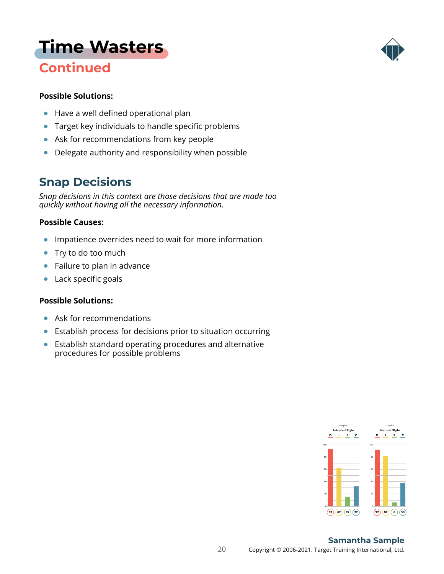## **[Time Wasters](#page-1-0)**

### **Continued**



#### **Possible Solutions:**

- Have a well defined operational plan  $\bullet$
- Target key individuals to handle specific problems  $\bullet$
- Ask for recommendations from key people
- Delegate authority and responsibility when possible  $\bullet$

### **Snap Decisions**

*Snap decisions in this context are those decisions that are made too quickly without having all the necessary information.*

#### **Possible Causes:**

- $\bullet$ Impatience overrides need to wait for more information
- Try to do too much  $\bullet$
- Failure to plan in advance  $\bullet$
- Lack specific goals  $\bullet$

#### **Possible Solutions:**

- $\bullet$ Ask for recommendations
- Establish process for decisions prior to situation occurring  $\bullet$
- Establish standard operating procedures and alternative procedures for possible problems



#### 20 Copyright © 2006-2021. Target Training International, Ltd. **Samantha Sample**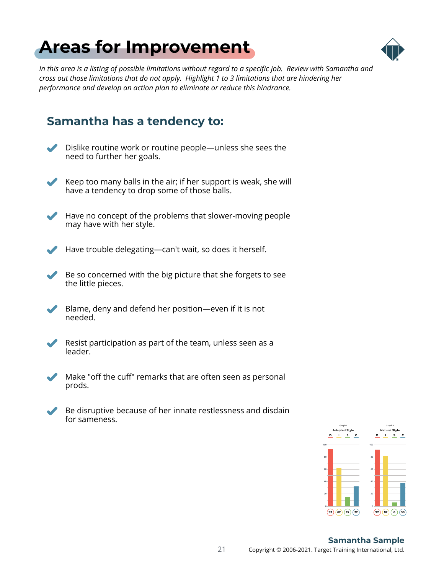## <span id="page-20-0"></span>**[Areas for Improvement](#page-1-0)**



*In this area is a listing of possible limitations without regard to a specific job. Review with Samantha and cross out those limitations that do not apply. Highlight 1 to 3 limitations that are hindering her performance and develop an action plan to eliminate or reduce this hindrance.*

### **Samantha has a tendency to:**

Dislike routine work or routine people—unless she sees the need to further her goals.



Keep too many balls in the air; if her support is weak, she will have a tendency to drop some of those balls.



Have no concept of the problems that slower-moving people may have with her style.



Have trouble delegating—can't wait, so does it herself.

Be so concerned with the big picture that she forgets to see the little pieces.

 $\blacktriangledown$ Blame, deny and defend her position—even if it is not needed.



Resist participation as part of the team, unless seen as a leader.





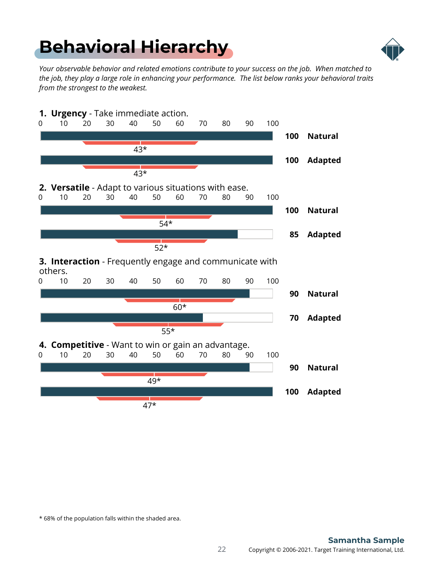## <span id="page-21-0"></span>**[Behavioral Hierarchy](#page-1-0)**



*Your observable behavior and related emotions contribute to your success on the job. When matched to the job, they play a large role in enhancing your performance. The list below ranks your behavioral traits from the strongest to the weakest.*



\* 68% of the population falls within the shaded area.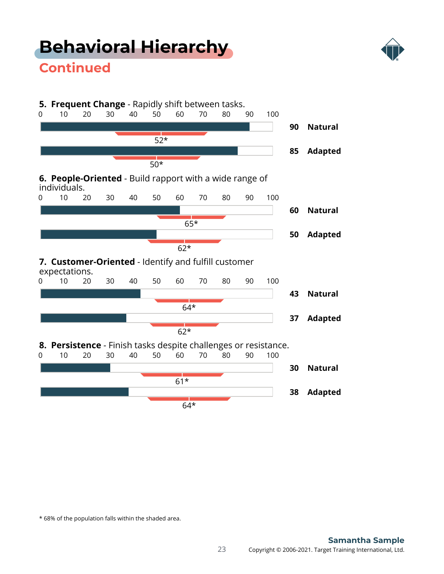## **[Behavioral Hierarchy](#page-1-0)**



### **Continued**



\* 68% of the population falls within the shaded area.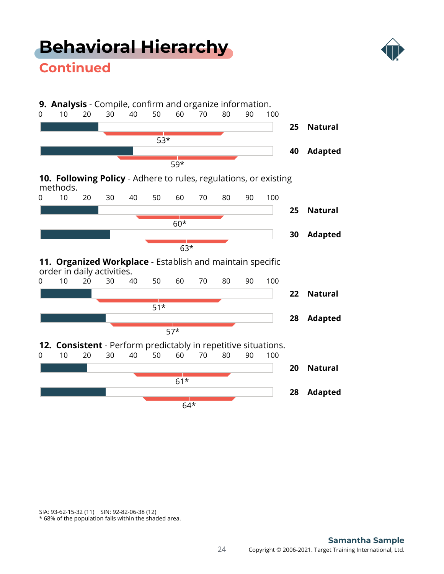## **[Behavioral Hierarchy](#page-1-0)**



### **Continued**



SIA: 93-62-15-32 (11) SIN: 92-82-06-38 (12)

\* 68% of the population falls within the shaded area.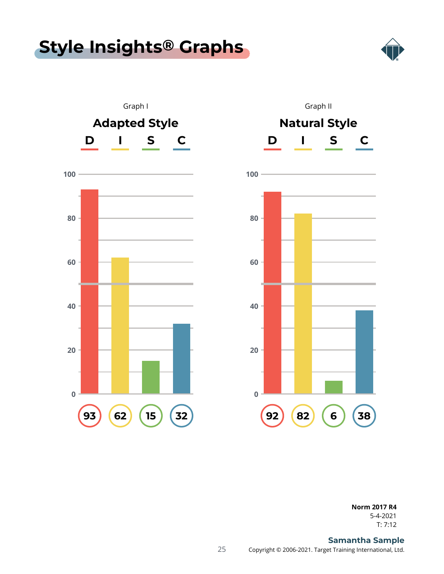### <span id="page-24-0"></span>**[Style Insights](#page-1-0) ® Graphs**







T: 7:12 5-4-2021 **Norm 2017 R4**

#### 25 Copyright © 2006-2021. Target Training International, Ltd. **Samantha Sample**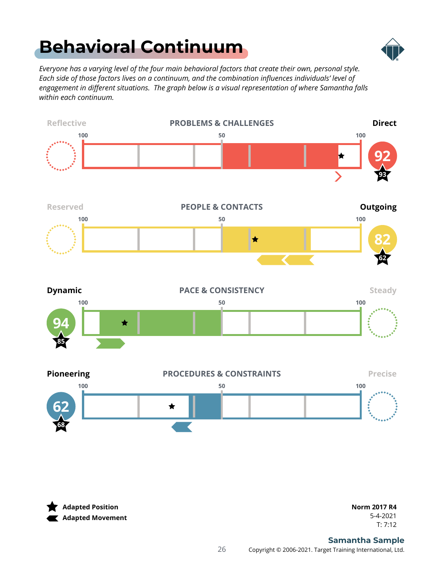## <span id="page-25-0"></span>**[Behavioral Continuum](#page-1-0)**



*Everyone has a varying level of the four main behavioral factors that create their own, personal style. Each side of those factors lives on a continuum, and the combination influences individuals' level of engagement in different situations. The graph below is a visual representation of where Samantha falls within each continuum.*



**Adapted Position Adapted Movement**

T: 7:12 5-4-2021 **Norm 2017 R4**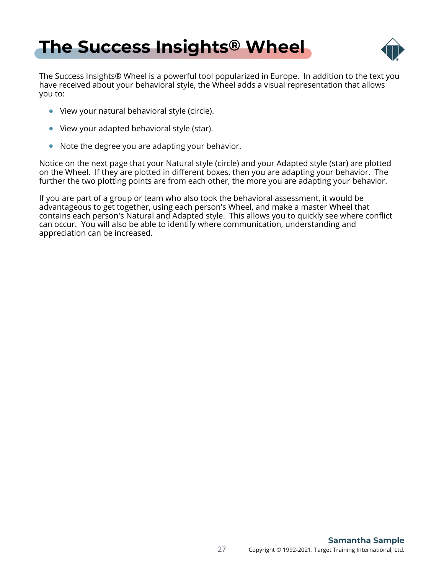### <span id="page-26-0"></span>**[The Success Insights](#page-1-0) ® Wheel**



The Success Insights® Wheel is a powerful tool popularized in Europe. In addition to the text you have received about your behavioral style, the Wheel adds a visual representation that allows you to:

- View your natural behavioral style (circle).
- View your adapted behavioral style (star).
- Note the degree you are adapting your behavior.

Notice on the next page that your Natural style (circle) and your Adapted style (star) are plotted on the Wheel. If they are plotted in different boxes, then you are adapting your behavior. The further the two plotting points are from each other, the more you are adapting your behavior.

If you are part of a group or team who also took the behavioral assessment, it would be advantageous to get together, using each person's Wheel, and make a master Wheel that contains each person's Natural and Adapted style. This allows you to quickly see where conflict can occur. You will also be able to identify where communication, understanding and appreciation can be increased.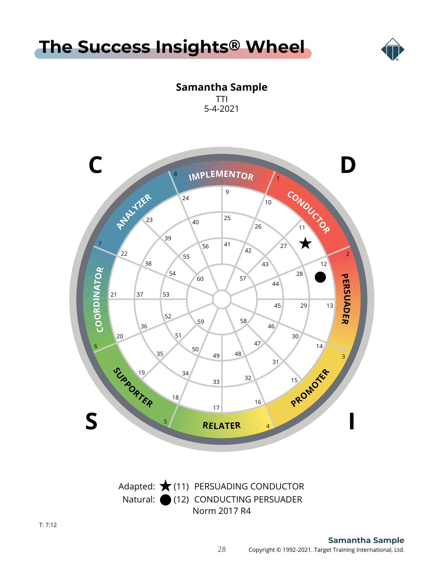



**Samantha Sample** TTI 5-4-2021

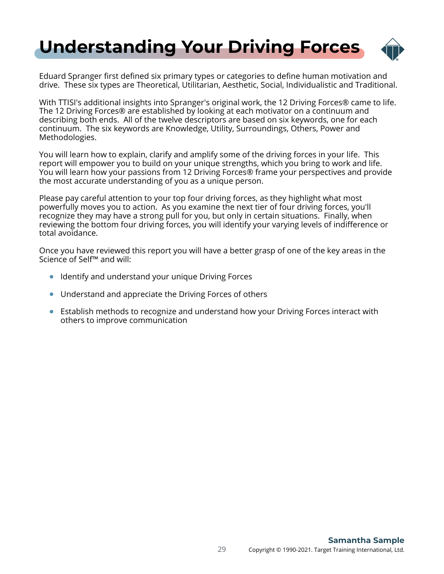## <span id="page-28-0"></span>**[Understanding Your Driving Forces](#page-1-0)**



Eduard Spranger first defined six primary types or categories to define human motivation and drive. These six types are Theoretical, Utilitarian, Aesthetic, Social, Individualistic and Traditional.

With TTISI's additional insights into Spranger's original work, the 12 Driving Forces® came to life. The 12 Driving Forces® are established by looking at each motivator on a continuum and describing both ends. All of the twelve descriptors are based on six keywords, one for each continuum. The six keywords are Knowledge, Utility, Surroundings, Others, Power and Methodologies.

You will learn how to explain, clarify and amplify some of the driving forces in your life. This report will empower you to build on your unique strengths, which you bring to work and life. You will learn how your passions from 12 Driving Forces® frame your perspectives and provide the most accurate understanding of you as a unique person.

Please pay careful attention to your top four driving forces, as they highlight what most powerfully moves you to action. As you examine the next tier of four driving forces, you'll recognize they may have a strong pull for you, but only in certain situations. Finally, when reviewing the bottom four driving forces, you will identify your varying levels of indifference or total avoidance.

Once you have reviewed this report you will have a better grasp of one of the key areas in the Science of Self™ and will:

- **•** Identify and understand your unique Driving Forces
- Understand and appreciate the Driving Forces of others
- Establish methods to recognize and understand how your Driving Forces interact with others to improve communication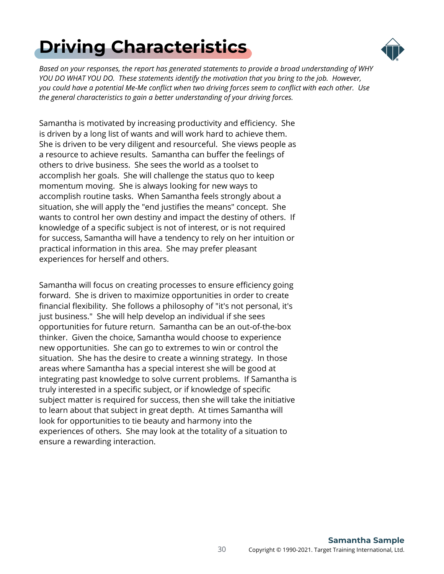# <span id="page-29-0"></span>**[Driving Characteristics](#page-1-0)**



*Based on your responses, the report has generated statements to provide a broad understanding of WHY YOU DO WHAT YOU DO. These statements identify the motivation that you bring to the job. However, you could have a potential Me-Me conflict when two driving forces seem to conflict with each other. Use the general characteristics to gain a better understanding of your driving forces.*

Samantha is motivated by increasing productivity and efficiency. She is driven by a long list of wants and will work hard to achieve them. She is driven to be very diligent and resourceful. She views people as a resource to achieve results. Samantha can buffer the feelings of others to drive business. She sees the world as a toolset to accomplish her goals. She will challenge the status quo to keep momentum moving. She is always looking for new ways to accomplish routine tasks. When Samantha feels strongly about a situation, she will apply the "end justifies the means" concept. She wants to control her own destiny and impact the destiny of others. If knowledge of a specific subject is not of interest, or is not required for success, Samantha will have a tendency to rely on her intuition or practical information in this area. She may prefer pleasant experiences for herself and others.

Samantha will focus on creating processes to ensure efficiency going forward. She is driven to maximize opportunities in order to create financial flexibility. She follows a philosophy of "it's not personal, it's just business." She will help develop an individual if she sees opportunities for future return. Samantha can be an out-of-the-box thinker. Given the choice, Samantha would choose to experience new opportunities. She can go to extremes to win or control the situation. She has the desire to create a winning strategy. In those areas where Samantha has a special interest she will be good at integrating past knowledge to solve current problems. If Samantha is truly interested in a specific subject, or if knowledge of specific subject matter is required for success, then she will take the initiative to learn about that subject in great depth. At times Samantha will look for opportunities to tie beauty and harmony into the experiences of others. She may look at the totality of a situation to ensure a rewarding interaction.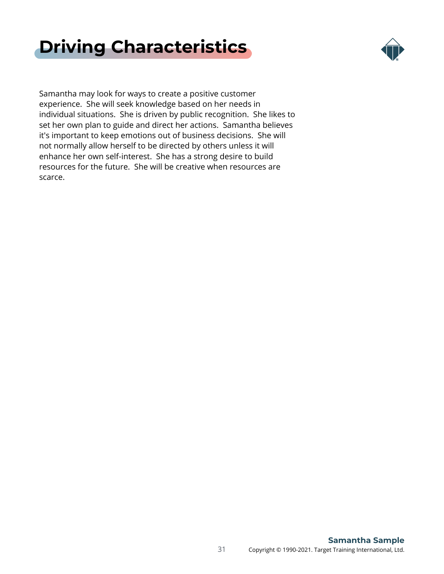



Samantha may look for ways to create a positive customer experience. She will seek knowledge based on her needs in individual situations. She is driven by public recognition. She likes to set her own plan to guide and direct her actions. Samantha believes it's important to keep emotions out of business decisions. She will not normally allow herself to be directed by others unless it will enhance her own self-interest. She has a strong desire to build resources for the future. She will be creative when resources are scarce.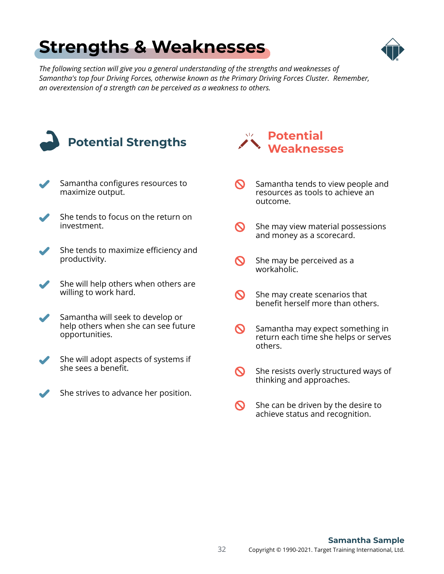## <span id="page-31-0"></span>**[Strengths & Weaknesses](#page-1-0)**



*The following section will give you a general understanding of the strengths and weaknesses of Samantha's top four Driving Forces, otherwise known as the Primary Driving Forces Cluster. Remember, an overextension of a strength can be perceived as a weakness to others.*

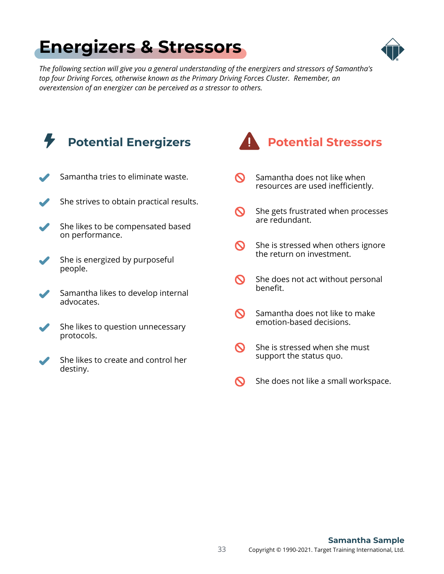## <span id="page-32-0"></span>**[Energizers & Stressors](#page-1-0)**



*The following section will give you a general understanding of the energizers and stressors of Samantha's top four Driving Forces, otherwise known as the Primary Driving Forces Cluster. Remember, an overextension of an energizer can be perceived as a stressor to others.*

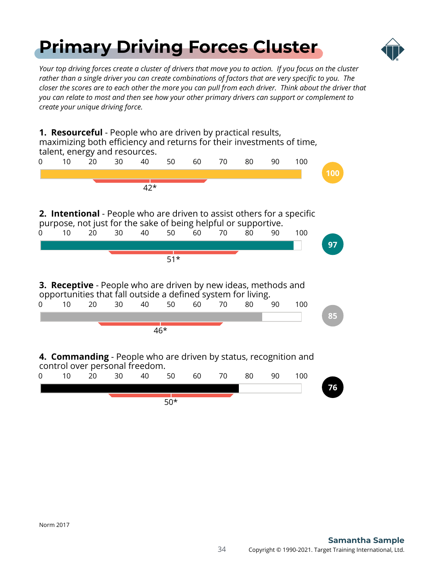## <span id="page-33-0"></span>**[Primary Driving Forces Cluster](#page-1-0)**



*Your top driving forces create a cluster of drivers that move you to action. If you focus on the cluster rather than a single driver you can create combinations of factors that are very specific to you. The closer the scores are to each other the more you can pull from each driver. Think about the driver that you can relate to most and then see how your other primary drivers can support or complement to create your unique driving force.*

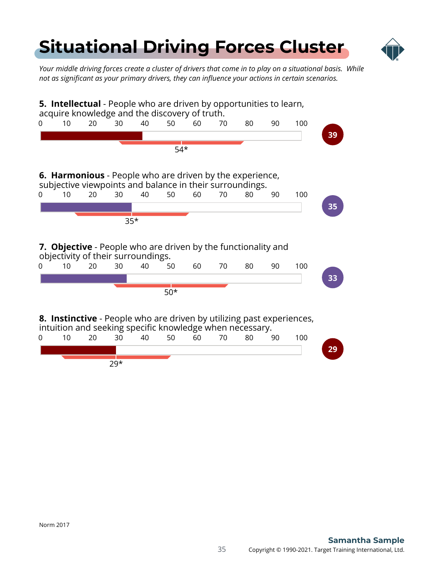## <span id="page-34-0"></span>**[Situational Driving Forces Cluster](#page-1-0)**



*Your middle driving forces create a cluster of drivers that come in to play on a situational basis. While not as significant as your primary drivers, they can influence your actions in certain scenarios.*

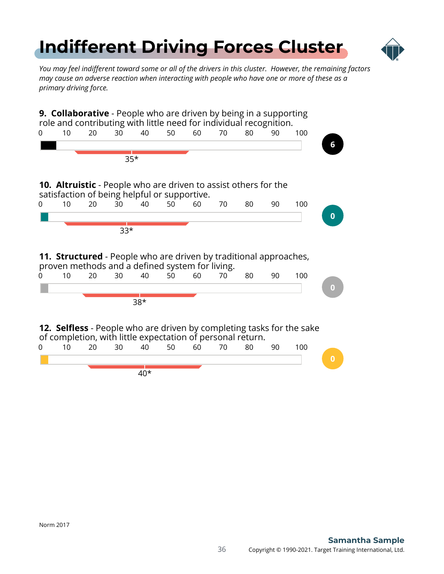# <span id="page-35-0"></span>**[Indifferent Driving Forces Cluster](#page-1-0)**



*You may feel indifferent toward some or all of the drivers in this cluster. However, the remaining factors may cause an adverse reaction when interacting with people who have one or more of these as a primary driving force.*

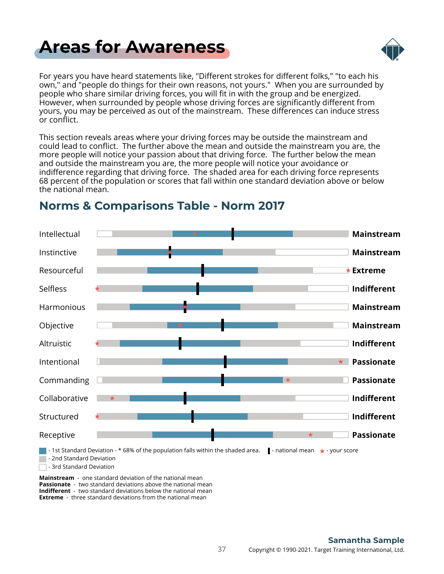## <span id="page-36-0"></span>**[Areas for Awareness](#page-1-0)**



For years you have heard statements like, "Different strokes for different folks," "to each his own," and "people do things for their own reasons, not yours." When you are surrounded by people who share similar driving forces, you will fit in with the group and be energized. However, when surrounded by people whose driving forces are significantly different from yours, you may be perceived as out of the mainstream. These differences can induce stress or conflict.

This section reveals areas where your driving forces may be outside the mainstream and could lead to conflict. The further above the mean and outside the mainstream you are, the more people will notice your passion about that driving force. The further below the mean and outside the mainstream you are, the more people will notice your avoidance or indifference regarding that driving force. The shaded area for each driving force represents 68 percent of the population or scores that fall within one standard deviation above or below the national mean.



### **Norms & Comparisons Table - Norm 2017**

**Mainstream** - one standard deviation of the national mean **Passionate** - two standard deviations above the national mean **Indifferent** - two standard deviations below the national mean **Extreme** - three standard deviations from the national mean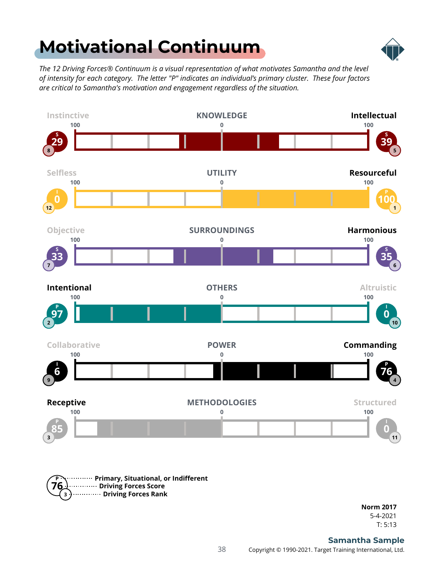## <span id="page-37-0"></span>**[Motivational Continuum](#page-1-0)**



*The 12 Driving Forces® Continuum is a visual representation of what motivates Samantha and the level of intensity for each category. The letter "P" indicates an individual's primary cluster. These four factors are critical to Samantha's motivation and engagement regardless of the situation.*





T: 5:13 5-4-2021 **Norm 2017**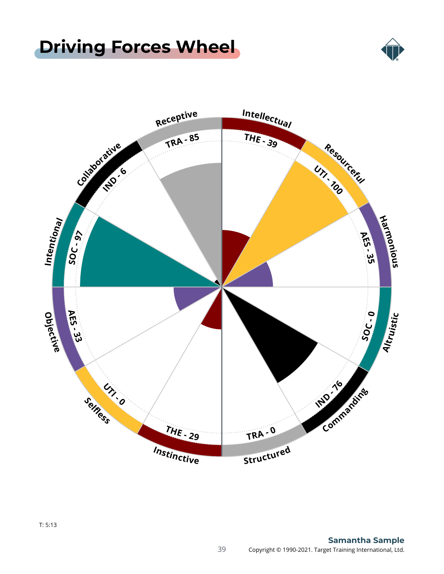## <span id="page-38-0"></span>**[Driving Forces Wheel](#page-1-0)**



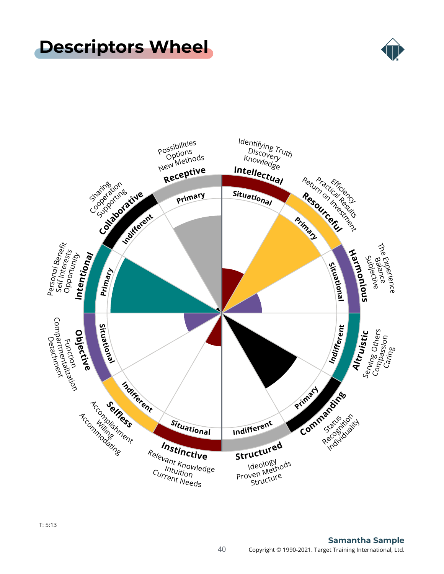### <span id="page-39-0"></span>**[Descriptors Wheel](#page-1-0)**



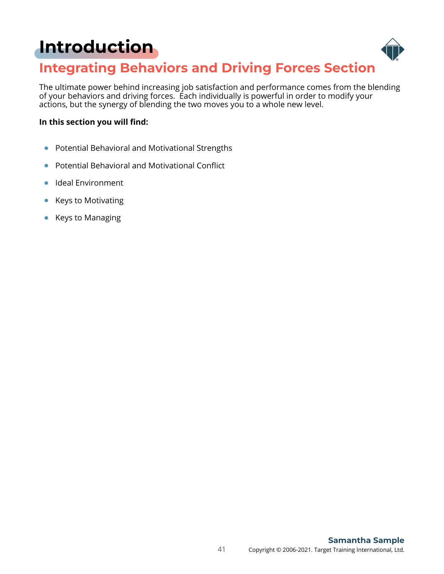## <span id="page-40-0"></span>**[Introduction](#page-1-0)**



### **Integrating Behaviors and Driving Forces Section**

The ultimate power behind increasing job satisfaction and performance comes from the blending of your behaviors and driving forces. Each individually is powerful in order to modify your actions, but the synergy of blending the two moves you to a whole new level.

#### **In this section you will find:**

- Potential Behavioral and Motivational Strengths  $\bullet$
- Potential Behavioral and Motivational Conflict  $\bullet$
- Ideal Environment  $\bullet$
- Keys to Motivating  $\bullet$
- Keys to Managing  $\bullet$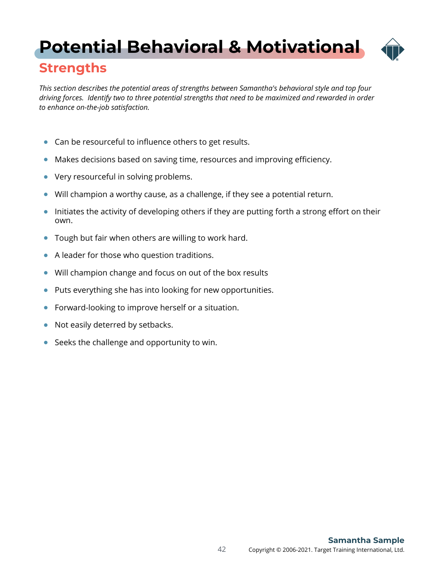## <span id="page-41-0"></span>**[Potential Behavioral & Motivational](#page-1-0)**



### **Strengths**

*This section describes the potential areas of strengths between Samantha's behavioral style and top four driving forces. Identify two to three potential strengths that need to be maximized and rewarded in order to enhance on-the-job satisfaction.*

- Can be resourceful to influence others to get results.
- Makes decisions based on saving time, resources and improving efficiency.
- Very resourceful in solving problems.  $\bullet$
- Will champion a worthy cause, as a challenge, if they see a potential return.  $\bullet$
- Initiates the activity of developing others if they are putting forth a strong effort on their own.
- Tough but fair when others are willing to work hard.  $\bullet$
- A leader for those who question traditions.  $\bullet$
- Will champion change and focus on out of the box results  $\bullet$
- Puts everything she has into looking for new opportunities.  $\bullet$
- Forward-looking to improve herself or a situation.  $\bullet$
- Not easily deterred by setbacks.  $\bullet$
- Seeks the challenge and opportunity to win.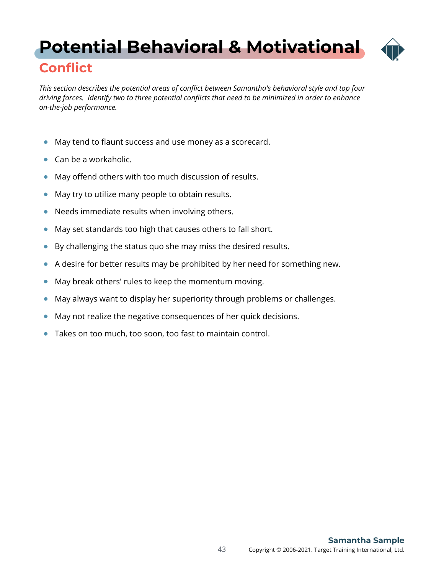## <span id="page-42-0"></span>**[Potential Behavioral & Motivational](#page-1-0)**



### **Conflict**

*This section describes the potential areas of conflict between Samantha's behavioral style and top four driving forces. Identify two to three potential conflicts that need to be minimized in order to enhance on-the-job performance.*

- May tend to flaunt success and use money as a scorecard.  $\bullet$
- Can be a workaholic.
- May offend others with too much discussion of results.  $\bullet$
- May try to utilize many people to obtain results.  $\bullet$
- Needs immediate results when involving others.  $\bullet$
- May set standards too high that causes others to fall short.  $\bullet$
- $\bullet$ By challenging the status quo she may miss the desired results.
- A desire for better results may be prohibited by her need for something new.  $\bullet$
- May break others' rules to keep the momentum moving.  $\bullet$
- May always want to display her superiority through problems or challenges.  $\bullet$
- May not realize the negative consequences of her quick decisions.  $\bullet$
- Takes on too much, too soon, too fast to maintain control.  $\bullet$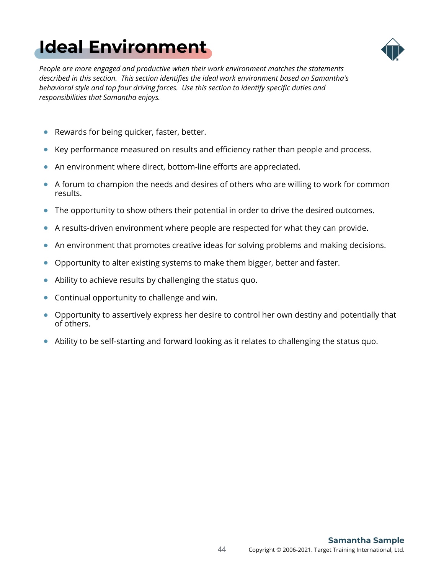# <span id="page-43-0"></span>**[Ideal Environment](#page-1-0)**



*People are more engaged and productive when their work environment matches the statements described in this section. This section identifies the ideal work environment based on Samantha's behavioral style and top four driving forces. Use this section to identify specific duties and responsibilities that Samantha enjoys.*

- Rewards for being quicker, faster, better.  $\bullet$
- Key performance measured on results and efficiency rather than people and process.  $\bullet$
- An environment where direct, bottom-line efforts are appreciated.
- $\bullet$  A forum to champion the needs and desires of others who are willing to work for common results.
- The opportunity to show others their potential in order to drive the desired outcomes.  $\bullet$
- A results-driven environment where people are respected for what they can provide.  $\bullet$
- An environment that promotes creative ideas for solving problems and making decisions.  $\bullet$
- Opportunity to alter existing systems to make them bigger, better and faster.  $\bullet$
- Ability to achieve results by challenging the status quo.  $\bullet$
- Continual opportunity to challenge and win.
- Opportunity to assertively express her desire to control her own destiny and potentially that of others.
- Ability to be self-starting and forward looking as it relates to challenging the status quo.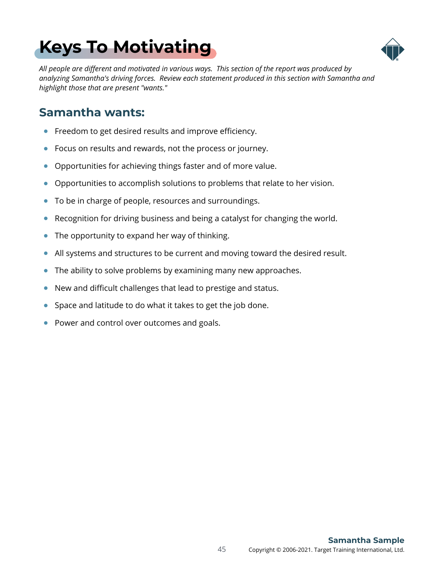# <span id="page-44-0"></span>**[Keys To Motivating](#page-1-0)**



*All people are different and motivated in various ways. This section of the report was produced by analyzing Samantha's driving forces. Review each statement produced in this section with Samantha and highlight those that are present "wants."*

#### **Samantha wants:**

- Freedom to get desired results and improve efficiency.  $\bullet$
- Focus on results and rewards, not the process or journey.  $\bullet$
- $\bullet$ Opportunities for achieving things faster and of more value.
- Opportunities to accomplish solutions to problems that relate to her vision.
- To be in charge of people, resources and surroundings.  $\bullet$
- Recognition for driving business and being a catalyst for changing the world.  $\bullet$
- The opportunity to expand her way of thinking.  $\bullet$
- All systems and structures to be current and moving toward the desired result.  $\bullet$
- The ability to solve problems by examining many new approaches.  $\bullet$
- New and difficult challenges that lead to prestige and status.  $\bullet$
- Space and latitude to do what it takes to get the job done.  $\bullet$
- Power and control over outcomes and goals.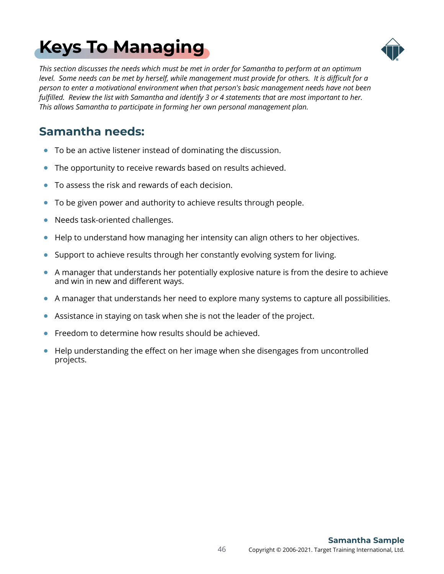# <span id="page-45-0"></span>**[Keys To Managing](#page-1-0)**



*This section discusses the needs which must be met in order for Samantha to perform at an optimum level. Some needs can be met by herself, while management must provide for others. It is difficult for a person to enter a motivational environment when that person's basic management needs have not been fulfilled. Review the list with Samantha and identify 3 or 4 statements that are most important to her. This allows Samantha to participate in forming her own personal management plan.*

### **Samantha needs:**

- To be an active listener instead of dominating the discussion.
- The opportunity to receive rewards based on results achieved.  $\bullet$
- To assess the risk and rewards of each decision.  $\bullet$
- To be given power and authority to achieve results through people.  $\bullet$
- Needs task-oriented challenges.  $\bullet$
- Help to understand how managing her intensity can align others to her objectives.  $\bullet$
- Support to achieve results through her constantly evolving system for living.  $\bullet$
- A manager that understands her potentially explosive nature is from the desire to achieve and win in new and different ways.
- A manager that understands her need to explore many systems to capture all possibilities.  $\bullet$
- Assistance in staying on task when she is not the leader of the project.  $\bullet$
- $\bullet$ Freedom to determine how results should be achieved.
- Help understanding the effect on her image when she disengages from uncontrolled projects.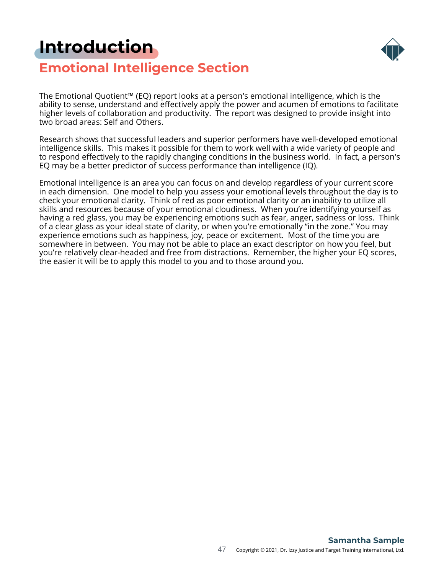### <span id="page-46-0"></span>**[Introduction](#page-1-0)**



### **Emotional Intelligence Section**

The Emotional Quotient™ (EQ) report looks at a person's emotional intelligence, which is the ability to sense, understand and effectively apply the power and acumen of emotions to facilitate higher levels of collaboration and productivity. The report was designed to provide insight into two broad areas: Self and Others.

Research shows that successful leaders and superior performers have well-developed emotional intelligence skills. This makes it possible for them to work well with a wide variety of people and to respond effectively to the rapidly changing conditions in the business world. In fact, a person's EQ may be a better predictor of success performance than intelligence (IQ).

Emotional intelligence is an area you can focus on and develop regardless of your current score in each dimension. One model to help you assess your emotional levels throughout the day is to check your emotional clarity. Think of red as poor emotional clarity or an inability to utilize all skills and resources because of your emotional cloudiness. When you're identifying yourself as having a red glass, you may be experiencing emotions such as fear, anger, sadness or loss. Think of a clear glass as your ideal state of clarity, or when you're emotionally "in the zone." You may experience emotions such as happiness, joy, peace or excitement. Most of the time you are somewhere in between. You may not be able to place an exact descriptor on how you feel, but you're relatively clear-headed and free from distractions. Remember, the higher your EQ scores, the easier it will be to apply this model to you and to those around you.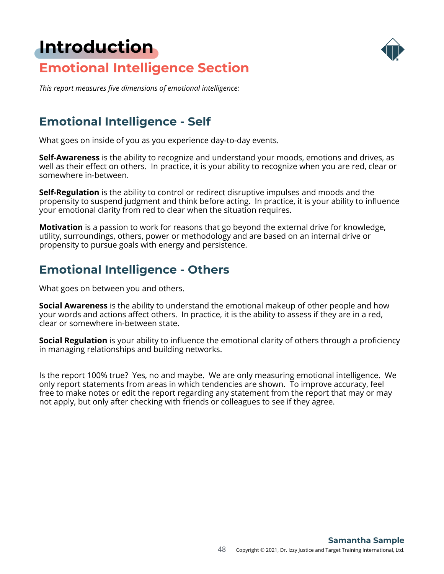### **[Introduction](#page-1-0)**



### **Emotional Intelligence Section**

*This report measures five dimensions of emotional intelligence:*

### **Emotional Intelligence - Self**

What goes on inside of you as you experience day-to-day events.

**Self-Awareness** is the ability to recognize and understand your moods, emotions and drives, as well as their effect on others. In practice, it is your ability to recognize when you are red, clear or somewhere in-between.

**Self-Regulation** is the ability to control or redirect disruptive impulses and moods and the propensity to suspend judgment and think before acting. In practice, it is your ability to influence your emotional clarity from red to clear when the situation requires.

**Motivation** is a passion to work for reasons that go beyond the external drive for knowledge, utility, surroundings, others, power or methodology and are based on an internal drive or propensity to pursue goals with energy and persistence.

### **Emotional Intelligence - Others**

What goes on between you and others.

**Social Awareness** is the ability to understand the emotional makeup of other people and how your words and actions affect others. In practice, it is the ability to assess if they are in a red, clear or somewhere in-between state.

**Social Regulation** is your ability to influence the emotional clarity of others through a proficiency in managing relationships and building networks.

Is the report 100% true? Yes, no and maybe. We are only measuring emotional intelligence. We only report statements from areas in which tendencies are shown. To improve accuracy, feel free to make notes or edit the report regarding any statement from the report that may or may not apply, but only after checking with friends or colleagues to see if they agree.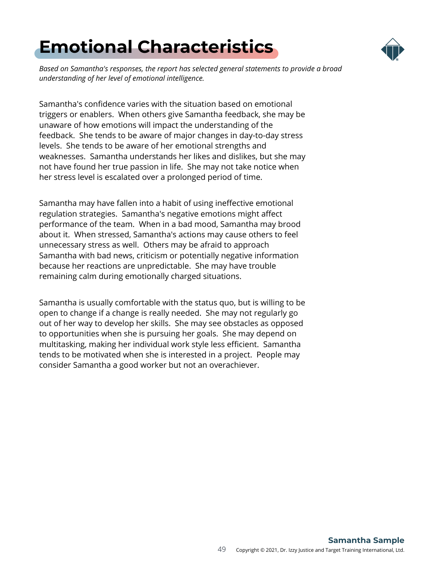## <span id="page-48-0"></span>**[Emotional Characteristics](#page-1-0)**



*Based on Samantha's responses, the report has selected general statements to provide a broad understanding of her level of emotional intelligence.*

Samantha's confidence varies with the situation based on emotional triggers or enablers. When others give Samantha feedback, she may be unaware of how emotions will impact the understanding of the feedback. She tends to be aware of major changes in day-to-day stress levels. She tends to be aware of her emotional strengths and weaknesses. Samantha understands her likes and dislikes, but she may not have found her true passion in life. She may not take notice when her stress level is escalated over a prolonged period of time.

Samantha may have fallen into a habit of using ineffective emotional regulation strategies. Samantha's negative emotions might affect performance of the team. When in a bad mood, Samantha may brood about it. When stressed, Samantha's actions may cause others to feel unnecessary stress as well. Others may be afraid to approach Samantha with bad news, criticism or potentially negative information because her reactions are unpredictable. She may have trouble remaining calm during emotionally charged situations.

Samantha is usually comfortable with the status quo, but is willing to be open to change if a change is really needed. She may not regularly go out of her way to develop her skills. She may see obstacles as opposed to opportunities when she is pursuing her goals. She may depend on multitasking, making her individual work style less efficient. Samantha tends to be motivated when she is interested in a project. People may consider Samantha a good worker but not an overachiever.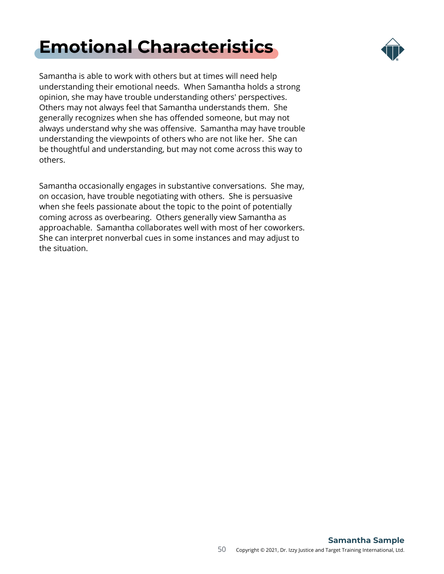## **[Emotional Characteristics](#page-1-0)**



Samantha is able to work with others but at times will need help understanding their emotional needs. When Samantha holds a strong opinion, she may have trouble understanding others' perspectives. Others may not always feel that Samantha understands them. She generally recognizes when she has offended someone, but may not always understand why she was offensive. Samantha may have trouble understanding the viewpoints of others who are not like her. She can be thoughtful and understanding, but may not come across this way to others.

Samantha occasionally engages in substantive conversations. She may, on occasion, have trouble negotiating with others. She is persuasive when she feels passionate about the topic to the point of potentially coming across as overbearing. Others generally view Samantha as approachable. Samantha collaborates well with most of her coworkers. She can interpret nonverbal cues in some instances and may adjust to the situation.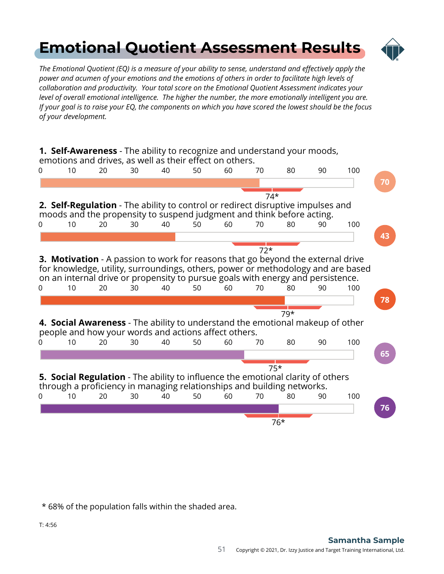### <span id="page-50-0"></span>**[Emotional Quotient Assessment Results](#page-1-0)**



*The Emotional Quotient (EQ) is a measure of your ability to sense, understand and effectively apply the power and acumen of your emotions and the emotions of others in order to facilitate high levels of collaboration and productivity. Your total score on the Emotional Quotient Assessment indicates your level of overall emotional intelligence. The higher the number, the more emotionally intelligent you are. If your goal is to raise your EQ, the components on which you have scored the lowest should be the focus of your development.*



\* 68% of the population falls within the shaded area.

T: 4:56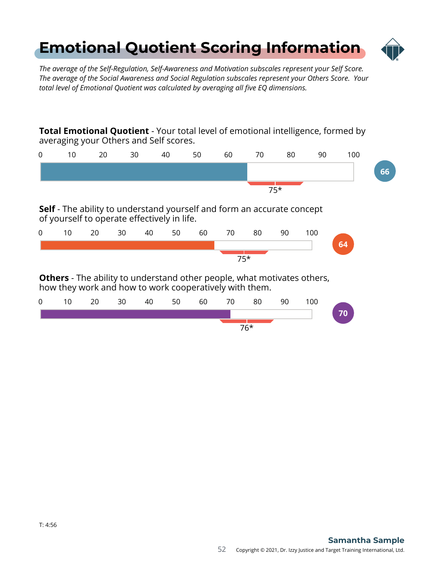### <span id="page-51-0"></span>**[Emotional Quotient Scoring Information](#page-1-0)**



*The average of the Self-Regulation, Self-Awareness and Motivation subscales represent your Self Score. The average of the Social Awareness and Social Regulation subscales represent your Others Score. Your total level of Emotional Quotient was calculated by averaging all five EQ dimensions.*

**Total Emotional Quotient** - Your total level of emotional intelligence, formed by averaging your Others and Self scores.

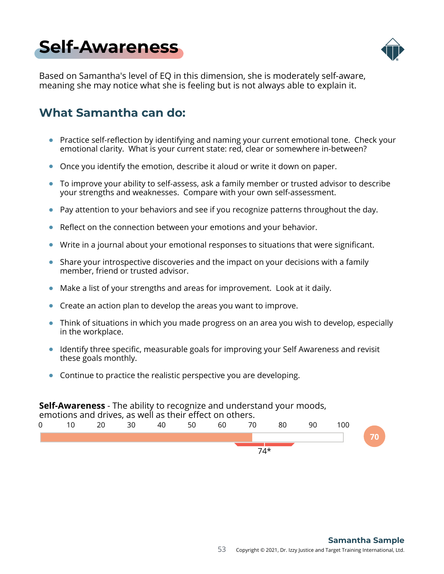## <span id="page-52-0"></span>**[Self-Awareness](#page-1-0)**



Based on Samantha's level of EQ in this dimension, she is moderately self-aware, meaning she may notice what she is feeling but is not always able to explain it.

### **What Samantha can do:**

- Practice self-reflection by identifying and naming your current emotional tone. Check your emotional clarity. What is your current state: red, clear or somewhere in-between?
- Once you identify the emotion, describe it aloud or write it down on paper.  $\bullet$
- To improve your ability to self-assess, ask a family member or trusted advisor to describe  $\bullet$ your strengths and weaknesses. Compare with your own self-assessment.
- Pay attention to your behaviors and see if you recognize patterns throughout the day.
- Reflect on the connection between your emotions and your behavior.
- Write in a journal about your emotional responses to situations that were significant.
- Share your introspective discoveries and the impact on your decisions with a family member, friend or trusted advisor.
- Make a list of your strengths and areas for improvement. Look at it daily.  $\bullet$
- Create an action plan to develop the areas you want to improve.
- Think of situations in which you made progress on an area you wish to develop, especially in the workplace.
- Identify three specific, measurable goals for improving your Self Awareness and revisit these goals monthly.
- Continue to practice the realistic perspective you are developing.

#### **Self-Awareness** - The ability to recognize and understand your moods, emotions and drives, as well as their effect on others. 0 10 20 30 40 50 60 70 80 90 100 **70** 74\*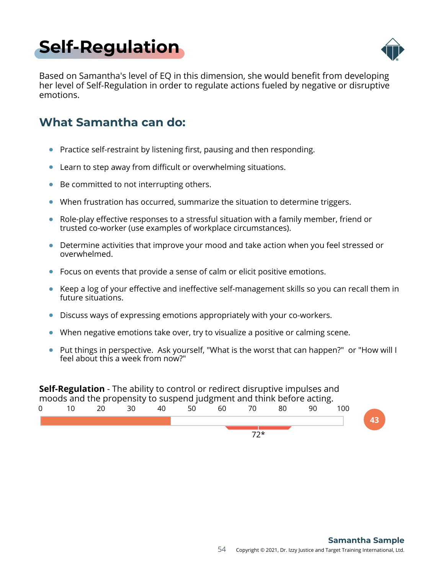<span id="page-53-0"></span>



Based on Samantha's level of EQ in this dimension, she would benefit from developing her level of Self-Regulation in order to regulate actions fueled by negative or disruptive emotions.

### **What Samantha can do:**

- Practice self-restraint by listening first, pausing and then responding.
- Learn to step away from difficult or overwhelming situations.  $\bullet$
- Be committed to not interrupting others.  $\bullet$
- When frustration has occurred, summarize the situation to determine triggers.  $\bullet$
- Role-play effective responses to a stressful situation with a family member, friend or trusted co-worker (use examples of workplace circumstances).
- Determine activities that improve your mood and take action when you feel stressed or overwhelmed.
- Focus on events that provide a sense of calm or elicit positive emotions.
- Keep a log of your effective and ineffective self-management skills so you can recall them in  $\bullet$ future situations.
- Discuss ways of expressing emotions appropriately with your co-workers.  $\bullet$
- When negative emotions take over, try to visualize a positive or calming scene.
- Put things in perspective. Ask yourself, "What is the worst that can happen?" or "How will I feel about this a week from now?"

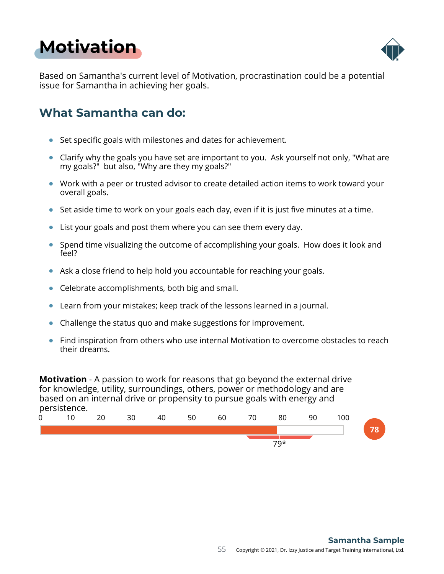## <span id="page-54-0"></span>**[Motivation](#page-1-0)**



Based on Samantha's current level of Motivation, procrastination could be a potential issue for Samantha in achieving her goals.

### **What Samantha can do:**

- Set specific goals with milestones and dates for achievement.
- Clarify why the goals you have set are important to you. Ask yourself not only, "What are my goals?" but also, "Why are they my goals?"
- Work with a peer or trusted advisor to create detailed action items to work toward your overall goals.
- $\bullet$  Set aside time to work on your goals each day, even if it is just five minutes at a time.
- List your goals and post them where you can see them every day.  $\bullet$
- Spend time visualizing the outcome of accomplishing your goals. How does it look and feel?
- Ask a close friend to help hold you accountable for reaching your goals.
- Celebrate accomplishments, both big and small.  $\bullet$
- $\bullet$ Learn from your mistakes; keep track of the lessons learned in a journal.
- Challenge the status quo and make suggestions for improvement.
- Find inspiration from others who use internal Motivation to overcome obstacles to reach their dreams.

**Motivation** - A passion to work for reasons that go beyond the external drive for knowledge, utility, surroundings, others, power or methodology and are based on an internal drive or propensity to pursue goals with energy and persistence.

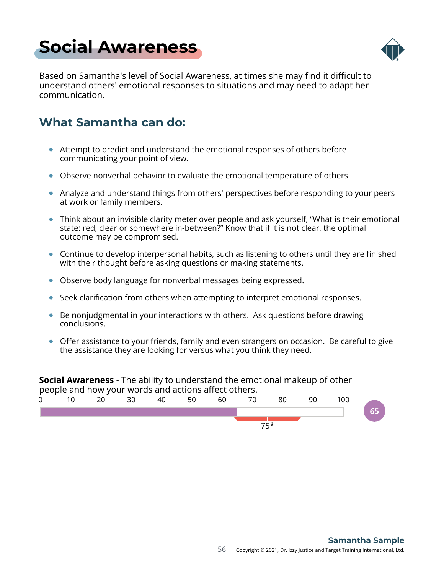## <span id="page-55-0"></span>**[Social Awareness](#page-1-0)**



Based on Samantha's level of Social Awareness, at times she may find it difficult to understand others' emotional responses to situations and may need to adapt her communication.

### **What Samantha can do:**

- Attempt to predict and understand the emotional responses of others before communicating your point of view.
- Observe nonverbal behavior to evaluate the emotional temperature of others.
- Analyze and understand things from others' perspectives before responding to your peers at work or family members.
- Think about an invisible clarity meter over people and ask yourself, "What is their emotional state: red, clear or somewhere in-between?" Know that if it is not clear, the optimal outcome may be compromised.
- Continue to develop interpersonal habits, such as listening to others until they are finished with their thought before asking questions or making statements.
- Observe body language for nonverbal messages being expressed.
- Seek clarification from others when attempting to interpret emotional responses.
- Be nonjudgmental in your interactions with others. Ask questions before drawing conclusions.
- Offer assistance to your friends, family and even strangers on occasion. Be careful to give the assistance they are looking for versus what you think they need.

**Social Awareness** - The ability to understand the emotional makeup of other people and how your words and actions affect others.

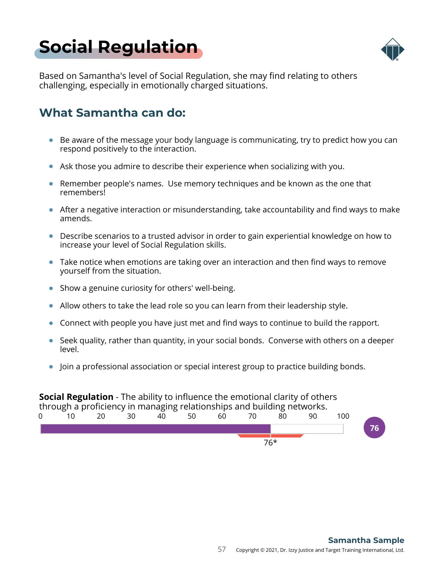## <span id="page-56-0"></span>**[Social Regulation](#page-1-0)**



Based on Samantha's level of Social Regulation, she may find relating to others challenging, especially in emotionally charged situations.

### **What Samantha can do:**

- $\bullet$  Be aware of the message your body language is communicating, try to predict how you can respond positively to the interaction.
- Ask those you admire to describe their experience when socializing with you.
- **Remember people's names. Use memory techniques and be known as the one that** remembers!
- After a negative interaction or misunderstanding, take accountability and find ways to make amends.
- Describe scenarios to a trusted advisor in order to gain experiential knowledge on how to increase your level of Social Regulation skills.
- Take notice when emotions are taking over an interaction and then find ways to remove yourself from the situation.
- Show a genuine curiosity for others' well-being.
- Allow others to take the lead role so you can learn from their leadership style.
- Connect with people you have just met and find ways to continue to build the rapport.
- $\bullet$  Seek quality, rather than quantity, in your social bonds. Converse with others on a deeper level.
- Join a professional association or special interest group to practice building bonds.

### **Social Regulation** - The ability to influence the emotional clarity of others

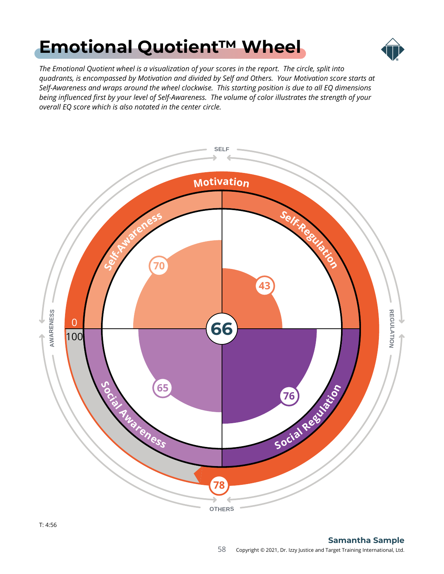## <span id="page-57-0"></span>**[Emotional Quotient™ Wheel](#page-1-0)**



*The Emotional Quotient wheel is a visualization of your scores in the report. The circle, split into quadrants, is encompassed by Motivation and divided by Self and Others. Your Motivation score starts at Self-Awareness and wraps around the wheel clockwise. This starting position is due to all EQ dimensions being influenced first by your level of Self-Awareness. The volume of color illustrates the strength of your overall EQ score which is also notated in the center circle.*

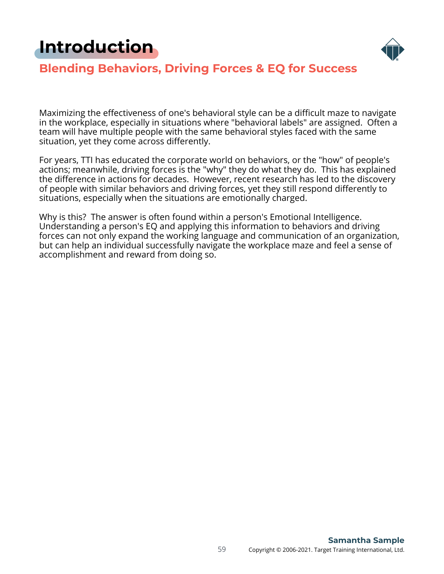## <span id="page-58-0"></span>**[Introduction](#page-1-0)**



### **Blending Behaviors, Driving Forces & EQ for Success**

Maximizing the effectiveness of one's behavioral style can be a difficult maze to navigate in the workplace, especially in situations where "behavioral labels" are assigned. Often a team will have multiple people with the same behavioral styles faced with the same situation, yet they come across differently.

For years, TTI has educated the corporate world on behaviors, or the "how" of people's actions; meanwhile, driving forces is the "why" they do what they do. This has explained the difference in actions for decades. However, recent research has led to the discovery of people with similar behaviors and driving forces, yet they still respond differently to situations, especially when the situations are emotionally charged.

Why is this? The answer is often found within a person's Emotional Intelligence. Understanding a person's EQ and applying this information to behaviors and driving forces can not only expand the working language and communication of an organization, but can help an individual successfully navigate the workplace maze and feel a sense of accomplishment and reward from doing so.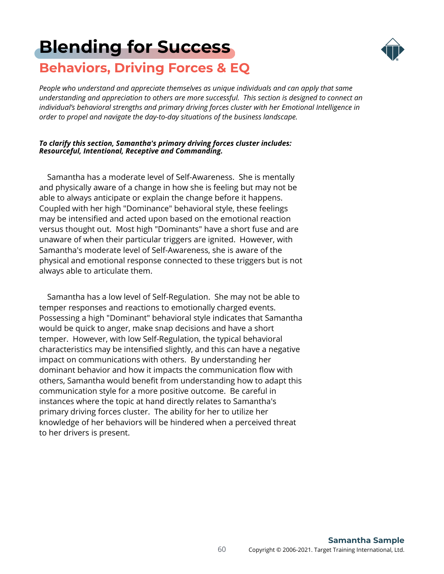### <span id="page-59-0"></span>**[Blending for Success](#page-1-0) Behaviors, Driving Forces & EQ**



*People who understand and appreciate themselves as unique individuals and can apply that same understanding and appreciation to others are more successful. This section is designed to connect an individual's behavioral strengths and primary driving forces cluster with her Emotional Intelligence in order to propel and navigate the day-to-day situations of the business landscape.*

#### *To clarify this section, Samantha's primary driving forces cluster includes: Resourceful, Intentional, Receptive and Commanding.*

 Samantha has a moderate level of Self-Awareness. She is mentally and physically aware of a change in how she is feeling but may not be able to always anticipate or explain the change before it happens. Coupled with her high "Dominance" behavioral style, these feelings may be intensified and acted upon based on the emotional reaction versus thought out. Most high "Dominants" have a short fuse and are unaware of when their particular triggers are ignited. However, with Samantha's moderate level of Self-Awareness, she is aware of the physical and emotional response connected to these triggers but is not always able to articulate them.

 Samantha has a low level of Self-Regulation. She may not be able to temper responses and reactions to emotionally charged events. Possessing a high "Dominant" behavioral style indicates that Samantha would be quick to anger, make snap decisions and have a short temper. However, with low Self-Regulation, the typical behavioral characteristics may be intensified slightly, and this can have a negative impact on communications with others. By understanding her dominant behavior and how it impacts the communication flow with others, Samantha would benefit from understanding how to adapt this communication style for a more positive outcome. Be careful in instances where the topic at hand directly relates to Samantha's primary driving forces cluster. The ability for her to utilize her knowledge of her behaviors will be hindered when a perceived threat to her drivers is present.